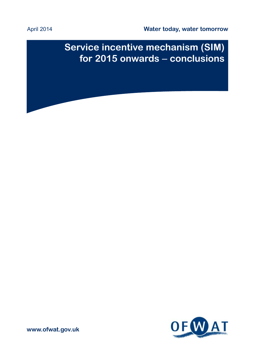April 2014

**Water today, water tomorrow**

# **Service incentive mechanism (SIM) for 2015 onwards** – **conclusions**



**www.ofwat.gov.uk**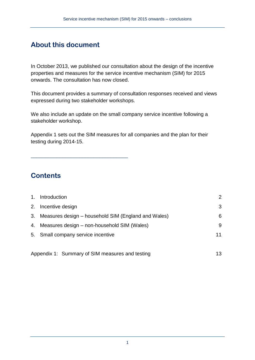## **About this document**

\_\_\_\_\_\_\_\_\_\_\_\_\_\_\_\_\_\_\_\_\_\_\_\_\_\_\_\_\_\_\_\_\_\_

In October 2013, we published our consultation about the design of the incentive properties and measures for the service incentive mechanism (SIM) for 2015 onwards. The consultation has now closed.

This document provides a summary of consultation responses received and views expressed during two stakeholder workshops.

We also include an update on the small company service incentive following a stakeholder workshop.

Appendix 1 sets out the SIM measures for all companies and the plan for their testing during 2014-15.

### **Contents**

|    | 1. Introduction                                        | 2  |
|----|--------------------------------------------------------|----|
|    | 2. Incentive design                                    | 3  |
|    | 3. Measures design – household SIM (England and Wales) | 6  |
| 4. | Measures design – non-household SIM (Wales)            |    |
|    | 5. Small company service incentive                     |    |
|    | Appendix 1: Summary of SIM measures and testing        | 13 |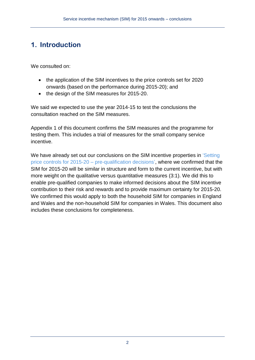## **1. Introduction**

We consulted on:

- the application of the SIM incentives to the price controls set for 2020 onwards (based on the performance during 2015-20); and
- the design of the SIM measures for 2015-20.

We said we expected to use the year 2014-15 to test the conclusions the consultation reached on the SIM measures.

Appendix 1 of this document confirms the SIM measures and the programme for testing them. This includes a trial of measures for the small company service incentive.

We have already set out our conclusions on the SIM incentive properties in 'Setting [price controls for 2015-20 –](http://www.ofwat.gov.uk/pricereview/pr14/pap_pos20140310pr14pq.pdf) pre-qualification decisions', where we confirmed that the SIM for 2015-20 will be similar in structure and form to the current incentive, but with more weight on the qualitative versus quantitative measures (3:1). We did this to enable pre-qualified companies to make informed decisions about the SIM incentive contribution to their risk and rewards and to provide maximum certainty for 2015-20. We confirmed this would apply to both the household SIM for companies in England and Wales and the non-household SIM for companies in Wales. This document also includes these conclusions for completeness.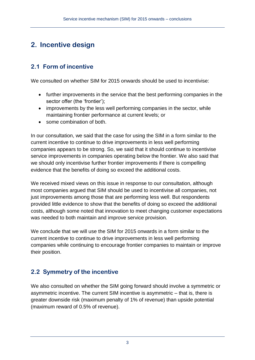## **2. Incentive design**

### **2.1 Form of incentive**

We consulted on whether SIM for 2015 onwards should be used to incentivise:

- further improvements in the service that the best performing companies in the sector offer (the 'frontier');
- improvements by the less well performing companies in the sector, while maintaining frontier performance at current levels; or
- some combination of both.

In our consultation, we said that the case for using the SIM in a form similar to the current incentive to continue to drive improvements in less well performing companies appears to be strong. So, we said that it should continue to incentivise service improvements in companies operating below the frontier. We also said that we should only incentivise further frontier improvements if there is compelling evidence that the benefits of doing so exceed the additional costs.

We received mixed views on this issue in response to our consultation, although most companies argued that SIM should be used to incentivise all companies, not just improvements among those that are performing less well. But respondents provided little evidence to show that the benefits of doing so exceed the additional costs, although some noted that innovation to meet changing customer expectations was needed to both maintain and improve service provision.

We conclude that we will use the SIM for 2015 onwards in a form similar to the current incentive to continue to drive improvements in less well performing companies while continuing to encourage frontier companies to maintain or improve their position.

### **2.2 Symmetry of the incentive**

We also consulted on whether the SIM going forward should involve a symmetric or asymmetric incentive. The current SIM incentive is asymmetric – that is, there is greater downside risk (maximum penalty of 1% of revenue) than upside potential (maximum reward of 0.5% of revenue).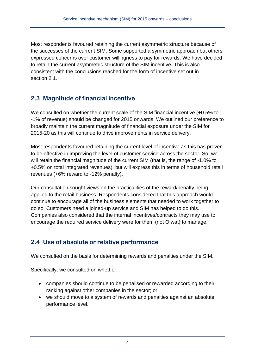Most respondents favoured retaining the current asymmetric structure because of the successes of the current SIM. Some supported a symmetric approach but others expressed concerns over customer willingness to pay for rewards. We have decided to retain the current asymmetric structure of the SIM incentive. This is also consistent with the conclusions reached for the form of incentive set out in section 2.1

### **2.3 Magnitude of financial incentive**

We consulted on whether the current scale of the SIM financial incentive (+0.5% to -1% of revenue) should be changed for 2015 onwards. We outlined our preference to broadly maintain the current magnitude of financial exposure under the SIM for 2015-20 as this will continue to drive improvements in service delivery.

Most respondents favoured retaining the current level of incentive as this has proven to be effective in improving the level of customer service across the sector. So, we will retain the financial magnitude of the current SIM (that is, the range of -1.0% to +0.5% on total integrated revenues), but will express this in terms of household retail revenues (+6% reward to -12% penalty).

Our consultation sought views on the practicalities of the reward/penalty being applied to the retail business. Respondents considered that this approach would continue to encourage all of the business elements that needed to work together to do so. Customers need a joined-up service and SIM has helped to do this. Companies also considered that the internal incentives/contracts they may use to encourage the required service delivery were for them (not Ofwat) to manage.

### **2.4 Use of absolute or relative performance**

We consulted on the basis for determining rewards and penalties under the SIM.

Specifically, we consulted on whether:

- companies should continue to be penalised or rewarded according to their ranking against other companies in the sector; or
- we should move to a system of rewards and penalties against an absolute performance level.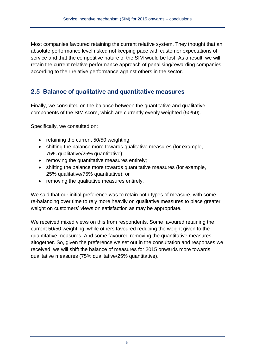Most companies favoured retaining the current relative system. They thought that an absolute performance level risked not keeping pace with customer expectations of service and that the competitive nature of the SIM would be lost. As a result, we will retain the current relative performance approach of penalising/rewarding companies according to their relative performance against others in the sector.

### **2.5 Balance of qualitative and quantitative measures**

Finally, we consulted on the balance between the quantitative and qualitative components of the SIM score, which are currently evenly weighted (50/50).

Specifically, we consulted on:

- retaining the current 50/50 weighting;
- shifting the balance more towards qualitative measures (for example, 75% qualitative/25% quantitative);
- removing the quantitative measures entirely;
- shifting the balance more towards quantitative measures (for example, 25% qualitative/75% quantitative); or
- removing the qualitative measures entirely.

We said that our initial preference was to retain both types of measure, with some re-balancing over time to rely more heavily on qualitative measures to place greater weight on customers' views on satisfaction as may be appropriate.

We received mixed views on this from respondents. Some favoured retaining the current 50/50 weighting, while others favoured reducing the weight given to the quantitative measures. And some favoured removing the quantitative measures altogether. So, given the preference we set out in the consultation and responses we received, we will shift the balance of measures for 2015 onwards more towards qualitative measures (75% qualitative/25% quantitative).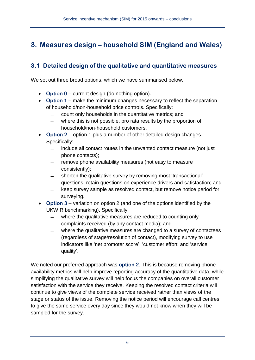## **3. Measures design – household SIM (England and Wales)**

### **3.1 Detailed design of the qualitative and quantitative measures**

We set out three broad options, which we have summarised below.

- **Option 0** current design (do nothing option).
- **Option 1** make the minimum changes necessary to reflect the separation of household/non-household price controls. Specifically:
	- count only households in the quantitative metrics; and
	- where this is not possible, pro rata results by the proportion of household/non-household customers.
- **Option 2** option 1 plus a number of other detailed design changes. Specifically:
	- include all contact routes in the unwanted contact measure (not just phone contacts);
	- remove phone availability measures (not easy to measure consistently);
	- shorten the qualitative survey by removing most 'transactional' questions; retain questions on experience drivers and satisfaction; and
	- keep survey sample as resolved contact, but remove notice period for surveying.
- **Option 3** variation on option 2 (and one of the options identified by the UKWIR benchmarking). Specifically:
	- where the qualitative measures are reduced to counting only complaints received (by any contact media); and
	- where the qualitative measures are changed to a survey of contactees (regardless of stage/resolution of contact), modifying survey to use indicators like 'net promoter score', 'customer effort' and 'service quality'.

We noted our preferred approach was **option 2**. This is because removing phone availability metrics will help improve reporting accuracy of the quantitative data, while simplifying the qualitative survey will help focus the companies on overall customer satisfaction with the service they receive. Keeping the resolved contact criteria will continue to give views of the complete service received rather than views of the stage or status of the issue. Removing the notice period will encourage call centres to give the same service every day since they would not know when they will be sampled for the survey.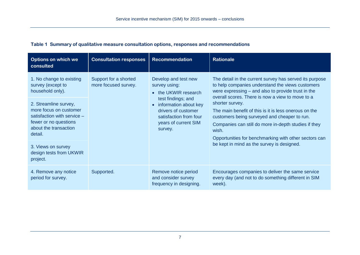| <b>Options on which we</b><br>consulted                                                                                                     | <b>Consultation responses</b>                 | <b>Recommendation</b>                                                                                                                                                                            | <b>Rationale</b>                                                                                                                                                                                                                                                                                                                                                                                                                                                                                                          |
|---------------------------------------------------------------------------------------------------------------------------------------------|-----------------------------------------------|--------------------------------------------------------------------------------------------------------------------------------------------------------------------------------------------------|---------------------------------------------------------------------------------------------------------------------------------------------------------------------------------------------------------------------------------------------------------------------------------------------------------------------------------------------------------------------------------------------------------------------------------------------------------------------------------------------------------------------------|
| 1. No change to existing<br>survey (except to<br>household only).                                                                           | Support for a shorted<br>more focused survey. | Develop and test new<br>survey using:<br>• the UKWIR research<br>test findings; and<br>information about key<br>drivers of customer<br>satisfaction from four<br>years of current SIM<br>survey. | The detail in the current survey has served its purpose<br>to help companies understand the views customers<br>were expressing – and also to provide trust in the<br>overall scores. There is now a view to move to a<br>shorter survey.<br>The main benefit of this is it is less onerous on the<br>customers being surveyed and cheaper to run.<br>Companies can still do more in-depth studies if they<br>wish.<br>Opportunities for benchmarking with other sectors can<br>be kept in mind as the survey is designed. |
| 2. Streamline survey,<br>more focus on customer<br>satisfaction with service -<br>fewer or no questions<br>about the transaction<br>detail. |                                               |                                                                                                                                                                                                  |                                                                                                                                                                                                                                                                                                                                                                                                                                                                                                                           |
| 3. Views on survey<br>design tests from UKWIR<br>project.                                                                                   |                                               |                                                                                                                                                                                                  |                                                                                                                                                                                                                                                                                                                                                                                                                                                                                                                           |
| 4. Remove any notice<br>period for survey.                                                                                                  | Supported.                                    | Remove notice period<br>and consider survey<br>frequency in designing.                                                                                                                           | Encourages companies to deliver the same service<br>every day (and not to do something different in SIM<br>week).                                                                                                                                                                                                                                                                                                                                                                                                         |

#### **Table 1 Summary of qualitative measure consultation options, responses and recommendations**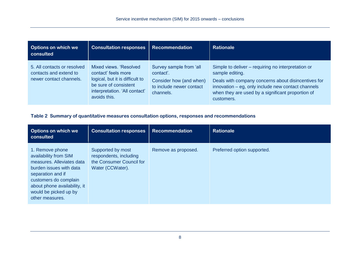| <b>Options on which we</b><br>consulted                                          | <b>Consultation responses</b>                                                                                                                              | <b>Recommendation</b>                                                                                    | <b>Rationale</b>                                                                                                                                                                                                                                      |
|----------------------------------------------------------------------------------|------------------------------------------------------------------------------------------------------------------------------------------------------------|----------------------------------------------------------------------------------------------------------|-------------------------------------------------------------------------------------------------------------------------------------------------------------------------------------------------------------------------------------------------------|
| 5. All contacts or resolved<br>contacts and extend to<br>newer contact channels. | Mixed views, 'Resolved<br>contact' feels more<br>logical, but it is difficult to<br>be sure of consistent<br>interpretation. 'All contact'<br>avoids this. | Survey sample from 'all<br>contact'.<br>Consider how (and when)<br>to include newer contact<br>channels. | Simple to deliver – requiring no interpretation or<br>sample editing.<br>Deals with company concerns about disincentives for<br>innovation – eg, only include new contact channels<br>when they are used by a significant proportion of<br>customers. |

#### **Table 2 Summary of quantitative measures consultation options, responses and recommendations**

| <b>Options on which we</b><br>consulted                                                                                                                                                                                    | <b>Consultation responses</b>                                                               | <b>Recommendation</b> | <b>Rationale</b>            |
|----------------------------------------------------------------------------------------------------------------------------------------------------------------------------------------------------------------------------|---------------------------------------------------------------------------------------------|-----------------------|-----------------------------|
| 1. Remove phone<br>availability from SIM<br>measures. Alleviates data<br>burden issues with data<br>separation and if<br>customers do complain<br>about phone availability, it<br>would be picked up by<br>other measures. | Supported by most<br>respondents, including<br>the Consumer Council for<br>Water (CCWater). | Remove as proposed.   | Preferred option supported. |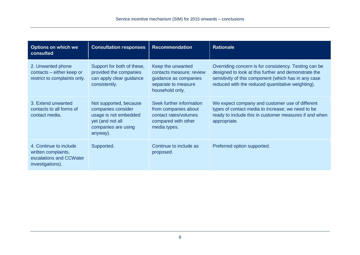| <b>Options on which we</b><br>consulted                                                      | <b>Consultation responses</b>                                                                                                | <b>Recommendation</b>                                                                                            | <b>Rationale</b>                                                                                                                                                                                                           |
|----------------------------------------------------------------------------------------------|------------------------------------------------------------------------------------------------------------------------------|------------------------------------------------------------------------------------------------------------------|----------------------------------------------------------------------------------------------------------------------------------------------------------------------------------------------------------------------------|
| 2. Unwanted phone<br>contacts - either keep or<br>restrict to complaints only.               | Support for both of these,<br>provided the companies<br>can apply clear guidance<br>consistently.                            | Keep the unwanted<br>contacts measure; review<br>guidance as companies<br>separate to measure<br>household only. | Overriding concern is for consistency. Testing can be<br>designed to look at this further and demonstrate the<br>sensitivity of this component (which has in any case<br>reduced with the reduced quantitative weighting). |
| 3. Extend unwanted<br>contacts to all forms of<br>contact media.                             | Not supported, because<br>companies consider<br>usage is not embedded<br>yet (and not all<br>companies are using<br>anyway). | Seek further information<br>from companies about<br>contact rates/volumes<br>compared with other<br>media types. | We expect company and customer use of different<br>types of contact media to increase; we need to be<br>ready to include this in customer measures if and when<br>appropriate.                                             |
| 4. Continue to include<br>written complaints,<br>escalations and CCWater<br>investigations). | Supported.                                                                                                                   | Continue to include as<br>proposed.                                                                              | Preferred option supported.                                                                                                                                                                                                |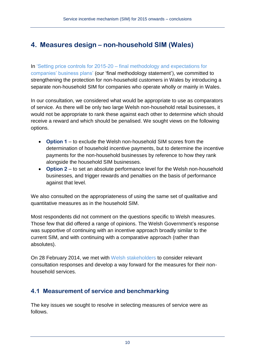## **4. Measures design – non-household SIM (Wales)**

In 'Setting price controls for 2015-20 – [final methodology and expectations for](http://www.ofwat.gov.uk/pricereview/pr14/prs_web201307finalapproach)  [companies' business plans'](http://www.ofwat.gov.uk/pricereview/pr14/prs_web201307finalapproach) (our 'final methodology statement'), we committed to strengthening the protection for non-household customers in Wales by introducing a separate non-household SIM for companies who operate wholly or mainly in Wales.

In our consultation, we considered what would be appropriate to use as comparators of service. As there will be only two large Welsh non-household retail businesses, it would not be appropriate to rank these against each other to determine which should receive a reward and which should be penalised. We sought views on the following options.

- **Option 1** to exclude the Welsh non-household SIM scores from the determination of household incentive payments, but to determine the incentive payments for the non-household businesses by reference to how they rank alongside the household SIM businesses.
- **Option 2** to set an absolute performance level for the Welsh non-household businesses, and trigger rewards and penalties on the basis of performance against that level.

We also consulted on the appropriateness of using the same set of qualitative and quantitative measures as in the household SIM.

Most respondents did not comment on the questions specific to Welsh measures. Those few that did offered a range of opinions. The Welsh Government's response was supportive of continuing with an incentive approach broadly similar to the current SIM, and with continuing with a comparative approach (rather than absolutes).

On 28 February 2014, we met with [Welsh stakeholders](http://www.ofwat.gov.uk/regulating/aboutconsumers/sim/prs_pre20140228welshsim.pdf) to consider relevant consultation responses and develop a way forward for the measures for their nonhousehold services.

### **4.1 Measurement of service and benchmarking**

The key issues we sought to resolve in selecting measures of service were as follows.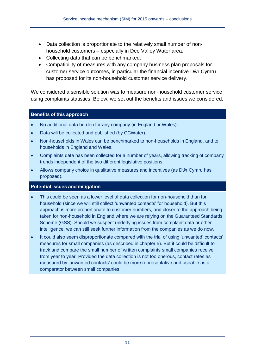- Data collection is proportionate to the relatively small number of nonhousehold customers – especially in Dee Valley Water area.
- Collecting data that can be benchmarked.
- Compatibility of measures with any company business plan proposals for customer service outcomes, in particular the financial incentive Dŵr Cymru has proposed for its non-household customer service delivery.

We considered a sensible solution was to measure non-household customer service using complaints statistics. Below, we set out the benefits and issues we considered.

#### **Benefits of this approach**

- No additional data burden for any company (in England or Wales).
- Data will be collected and published (by CCWater).
- Non-households in Wales can be benchmarked to non-households in England, and to households in England and Wales.
- Complaints data has been collected for a number of years, allowing tracking of company trends independent of the two different legislative positions.
- Allows company choice in qualitative measures and incentives (as Dŵr Cymru has proposed).

#### **Potential issues and mitigation**

- This could be seen as a lower level of data collection for non-household than for household (since we will still collect 'unwanted contacts' for household). But this approach is more proportionate to customer numbers, and closer to the approach being taken for non-household in England where we are relying on the Guaranteed Standards Scheme (GSS). Should we suspect underlying issues from complaint data or other intelligence, we can still seek further information from the companies as we do now.
- It could also seem disproportionate compared with the trial of using 'unwanted' contacts' measures for small companies (as described in chapter 5). But it could be difficult to track and compare the small number of written complaints small companies receive from year to year. Provided the data collection is not too onerous, contact rates as measured by 'unwanted contacts' could be more representative and useable as a comparator between small companies.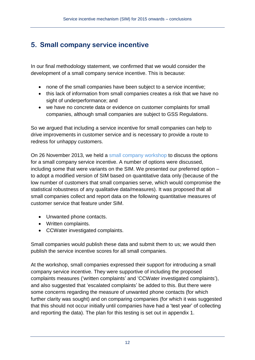## **5. Small company service incentive**

In our final methodology statement, we confirmed that we would consider the development of a small company service incentive. This is because:

- none of the small companies have been subject to a service incentive;
- this lack of information from small companies creates a risk that we have no sight of underperformance; and
- we have no concrete data or evidence on customer complaints for small companies, although small companies are subject to GSS Regulations.

So we argued that including a service incentive for small companies can help to drive improvements in customer service and is necessary to provide a route to redress for unhappy customers.

On 26 November 2013, we held a [small company workshop](http://www.ofwat.gov.uk/regulating/aboutconsumers/sim/prs_pre20131126smallcosim.pdf) to discuss the options for a small company service incentive. A number of options were discussed, including some that were variants on the SIM. We presented our preferred option – to adopt a modified version of SIM based on quantitative data only (because of the low number of customers that small companies serve, which would compromise the statistical robustness of any qualitative data/measures). It was proposed that all small companies collect and report data on the following quantitative measures of customer service that feature under SIM.

- Unwanted phone contacts.
- Written complaints.
- CCWater investigated complaints.

Small companies would publish these data and submit them to us; we would then publish the service incentive scores for all small companies.

At the workshop, small companies expressed their support for introducing a small company service incentive. They were supportive of including the proposed complaints measures ('written complaints' and 'CCWater investigated complaints'), and also suggested that 'escalated complaints' be added to this. But there were some concerns regarding the measure of unwanted phone contacts (for which further clarity was sought) and on comparing companies (for which it was suggested that this should not occur initially until companies have had a 'test year' of collecting and reporting the data). The plan for this testing is set out in appendix 1.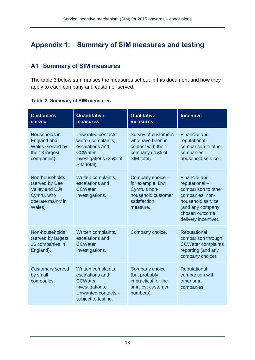## **Appendix 1: Summary of SIM measures and testing**

### **A1 Summary of SIM measures**

The table 3 below summarises the measures set out in this document and how they apply to each company and customer served.

| <b>Customers</b><br>served                                                                       | <b>Quantitative</b><br>measures                                                                                           | <b>Qualitative</b><br>measures                                                                         | <b>Incentive</b>                                                                                                                                                   |
|--------------------------------------------------------------------------------------------------|---------------------------------------------------------------------------------------------------------------------------|--------------------------------------------------------------------------------------------------------|--------------------------------------------------------------------------------------------------------------------------------------------------------------------|
| Households in<br><b>England and</b><br>Wales (served by<br>the 18 largest<br>companies).         | Unwanted contacts,<br>written complaints,<br>escalations and<br><b>CCWater</b><br>investigations (25% of<br>SIM total).   | <b>Survey of customers</b><br>who have been in<br>contact with their<br>company (75% of<br>SIM total). | <b>Financial and</b><br>reputational-<br>comparison to other<br>companies'<br>household service.                                                                   |
| Non-households<br>(served by Dee<br>Valley and Dŵr<br>Cymru, who<br>operate mainly in<br>Wales). | Written complaints,<br>escalations and<br><b>CCWater</b><br>investigations.                                               | Company choice -<br>for example, Dŵr<br>Cymru's non-<br>household customer<br>satisfaction<br>measure. | <b>Financial and</b><br>reputational-<br>comparison to other<br>companies' non-<br>household service<br>(and any company<br>chosen outcome<br>delivery incentive). |
| Non-households<br>(served by largest<br>16 companies in<br>England).                             | Written complaints,<br>escalations and<br><b>CCWater</b><br>investigations.                                               | Company choice.                                                                                        | Reputational<br>comparison through<br><b>CCWater complaints</b><br>reporting (and any<br>company choice).                                                          |
| <b>Customers served</b><br>by small<br>companies.                                                | Written complaints,<br>escalations and<br><b>CCWater</b><br>investigations.<br>Unwanted contacts -<br>subject to testing. | Company choice<br>(but probably<br>impractical for the<br>smallest customer<br>numbers).               | Reputational<br>comparison with<br>other small<br>companies.                                                                                                       |

#### **Table 3 Summary of SIM measures**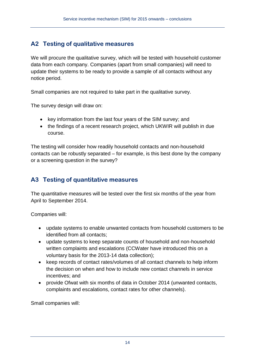### **A2 Testing of qualitative measures**

We will procure the qualitative survey, which will be tested with household customer data from each company. Companies (apart from small companies) will need to update their systems to be ready to provide a sample of all contacts without any notice period.

Small companies are not required to take part in the qualitative survey.

The survey design will draw on:

- key information from the last four years of the SIM survey; and
- the findings of a recent research project, which UKWIR will publish in due course.

The testing will consider how readily household contacts and non-household contacts can be robustly separated – for example, is this best done by the company or a screening question in the survey?

### **A3 Testing of quantitative measures**

The quantitative measures will be tested over the first six months of the year from April to September 2014.

Companies will:

- update systems to enable unwanted contacts from household customers to be identified from all contacts;
- update systems to keep separate counts of household and non-household written complaints and escalations (CCWater have introduced this on a voluntary basis for the 2013-14 data collection);
- keep records of contact rates/volumes of all contact channels to help inform the decision on when and how to include new contact channels in service incentives; and
- provide Ofwat with six months of data in October 2014 (unwanted contacts, complaints and escalations, contact rates for other channels).

Small companies will: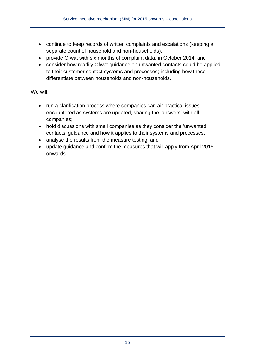- continue to keep records of written complaints and escalations (keeping a separate count of household and non-households);
- provide Ofwat with six months of complaint data, in October 2014; and
- consider how readily Ofwat guidance on unwanted contacts could be applied to their customer contact systems and processes; including how these differentiate between households and non-households.

#### We will:

- run a clarification process where companies can air practical issues encountered as systems are updated, sharing the 'answers' with all companies;
- hold discussions with small companies as they consider the 'unwanted contacts' guidance and how it applies to their systems and processes;
- analyse the results from the measure testing; and
- update guidance and confirm the measures that will apply from April 2015 onwards.